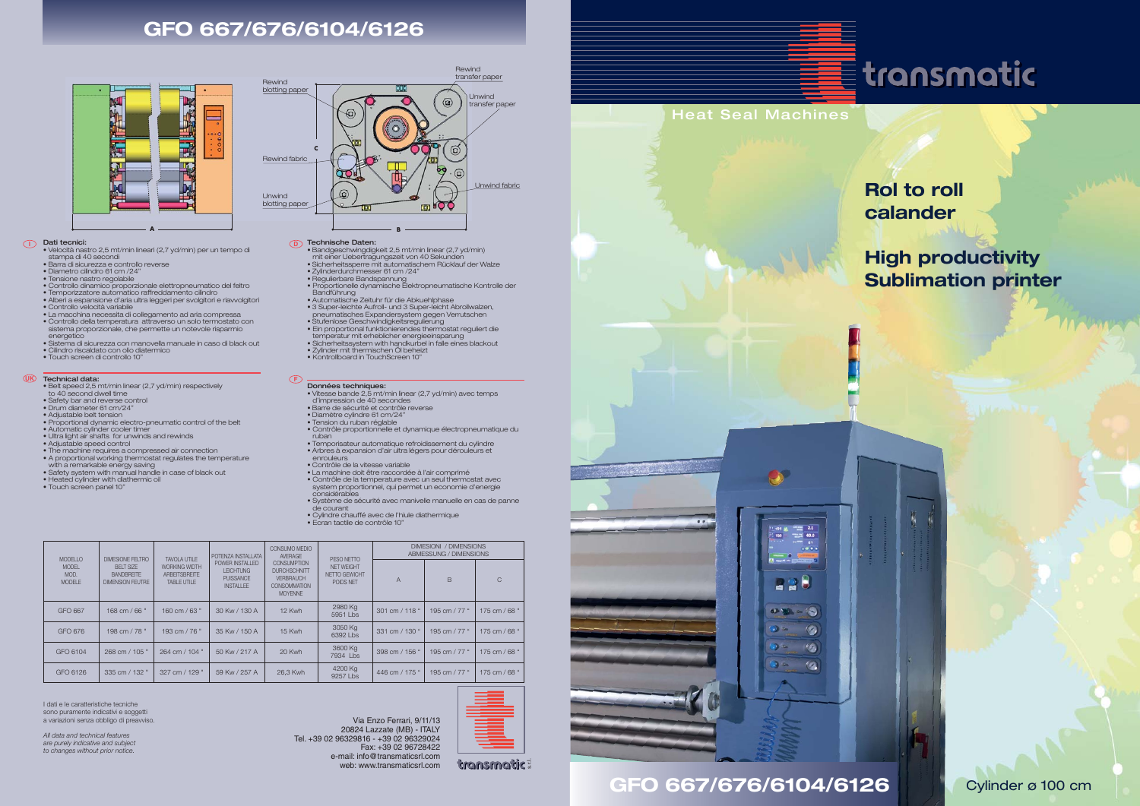

GFO 667/676/6104/6126 Cylinder ø 100 cm



## **Rol to roll calander**

## **High productivity Sublimation printer**

### **GFO 667/676/6104/6126**

#### **I D** Dati tecnici:

#### **UK F** Technical data:

- Velocità nastro 2,5 mt/min lineari (2,7 yd/min) per un tempo di stampa di 40 secondi
- Barra di sicurezza e controllo reverse Diametro cilindro 61 cm /24"
- 
- Tensione nastro regolabile
- Controllo dinamico proporzionale elettropneumatico del feltro Temporizzatore automatico raffreddamento cilindro
- Alberi a espansione d'aria ultra leggeri per svolgitori e riavvolgitori
- 
- 
- Controllo velocità variabile La macchina necessita di collegamento ad aria compressa Controllo della temperatura attraverso un solo termostato con sistema proporzionale, che permette un notevole risparmio energetico
- Sistema di sicurezza con manovella manuale in caso di black out
- Cilindro riscaldato con olio diatermico Touch screen di controllo 10"
- 
- 
- Regulierbare Bandspannung Proportionelle dynamische Elektropneumatische Kontrolle der **Bandführung**

- Belt speed 2,5 mt/min linear (2,7 yd/min) respectively
- to 40 second dwell time Safety bar and reverse control
- 
- Drum diameter 61 cm/24"
- Adjustable belt tension
- Proportional dynamic electro-pneumatic control of the belt
- Automatic cylinder cooler timer • Ultra light air shafts for unwinds and rewinds
- Adjustable speed control
- 
- The machine requires a compressed air connection • A proportional working thermostat regulates the temperature with a remarkable energy saving • Safety system with manual handle in case of black out
- 
- Heated cylinder with diathermic oil
- Touch screen panel 10"



Unwind blotting pap

**Rewind** blotting paper

- Bandgeschwingdigkeit 2,5 mt/min linear (2,7 yd/min) mit einer Uebertragungszeit von 40 Sekunden • Sicherheitssperre mit automatischem Rücklauf der Walze • Zylinderdurchmesser 61 cm /24"
- 
- 

6

ರಾ  $\Omega$ 

- Automatische Zeituhr für die Abkuehlphase • 3 Super-leichte Aufroll- und 3 Super-leicht Abrollwalzen, pneumatisches Expandersystem gegen Verrutschen • Stufenlose Geschwindigkeitsregulierung
- 
- Ein proportional funktionierendes thermostat reguliert die temperatur mit erheblicher energieeinsparung
- Sicherheitssystem with handkurbel in falle eines blackout
- Zylinder mit thermischen Öl beheizt Kontrollboard in TouchScreen 10"
- 

#### Données techniques:

- Vitesse bande 2,5 mt/min linear (2,7 yd/min) avec temps d'impression de 40 secondes
- Barre de sécurité et contrôle reverse
- Diamètre cylindre 61 cm/24"
- Tension du ruban réglable
- Contrôle proportionnelle et dynamique électropneumatique du
- ruban Temporisateur automatique refroidissement du cylindre
- Arbres à expansion d'air ultra légers pour dérouleurs et
- enrouleurs Contrôle de la vitesse variable
- 
- La machine doit être raccordée à l'air comprimé • Contrôle de la temperature avec un seul thermostat avec
- system proportionnel, qui permet un economie d'energie considérables
- Système de sécurité avec manivelle manuelle en cas de panne de courant • Cylindre chauffé avec de l'hiule diathermique
- Ecran tactile de contrôle 10"

Technische Daten: **B**

# transmatic

Rewind fabric

Rewind transfer paper

 $\mathbf{a}$ 

**G** 

**ED POO** 

I dati e le caratteristiche tecniche sono puramente indicativi e soggetti a variazioni senza obbligo di preavviso.

*All data and technical features are purely indicative and subject to changes without prior notice.*

Via Enzo Ferrari, 9/11/13 20824 Lazzate (MB) - ITALY Tel. +39 02 96329816 - +39 02 96329024 Fax: +39 02 96728422 e-mail: info@transmaticsrl.com web: www.transmaticsrl.com

| <b>MODELLO</b><br><b>MODEL</b><br>MOD.<br><b>MODELE</b> | DIMESIONE FELTRO<br><b>BELT SIZE</b><br><b>BANDBREITE</b><br><b>DIMENSION FEUTRE</b> | TAVOI A UTILE<br><b>WORKING WIDTH</b><br><b>ARBEITSBREITE</b><br><b>TABLE UTILE</b> | POTENZA INSTALLATA<br>POWER INSTALLED<br><b>LEICHTUNG</b><br><b>PUISSANCE</b><br><b>INSTALLEE</b> | CONSUMO MEDIO<br><b>AVERAGE</b><br><b>CONSUMPTION</b><br><b>DURCHSCHNITT</b><br><b>VERBRAUCH</b><br><b>CONSOMMATION</b><br><b>MOYENNE</b> | PFSO NFTTO<br><b>NET WEIGHT</b><br>NETTO GEWICHT<br>POIDS NET | DIMESIONI / DIMENSIONS<br>ABMESSUNG / DIMENSIONS |               |               |
|---------------------------------------------------------|--------------------------------------------------------------------------------------|-------------------------------------------------------------------------------------|---------------------------------------------------------------------------------------------------|-------------------------------------------------------------------------------------------------------------------------------------------|---------------------------------------------------------------|--------------------------------------------------|---------------|---------------|
|                                                         |                                                                                      |                                                                                     |                                                                                                   |                                                                                                                                           |                                                               | $\overline{A}$                                   | <sub>B</sub>  | $\mathcal{C}$ |
| GFO 667                                                 | $168 \text{ cm} / 66$ "                                                              | 160 cm / 63 "                                                                       | 30 Kw / 130 A                                                                                     | 12 Kwh                                                                                                                                    | 2980 Kg<br>$5951$ Lbs                                         | 301 cm / 118 "                                   | 195 cm / 77 " | 175 cm / 68 " |
| GFO 676                                                 | 198 cm / 78 "                                                                        | 193 cm $/$ 76 $"$                                                                   | 35 Kw / 150 A                                                                                     | 15 Kwh                                                                                                                                    | 3050 Kg<br>6392 Lbs                                           | 331 cm / 130 "                                   | 195 cm / 77 " | 175 cm / 68 " |
| GFO 6104                                                | 268 cm / 105 "                                                                       | 264 cm / 104 "                                                                      | 50 Kw / 217 A                                                                                     | 20 Kwh                                                                                                                                    | 3600 Kg<br>7934 Lbs                                           | 398 cm / 156 "                                   | 195 cm / 77 " | 175 cm / 68 " |
| GFO 6126                                                | 335 cm / 132 "                                                                       | 327 cm / 129 "                                                                      | 59 Kw / 257 A                                                                                     | 26.3 Kwh                                                                                                                                  | 4200 Kg<br>9257 Lbs                                           | 446 cm / 175 "                                   | 195 cm / 77 " | 175 cm / 68 " |



**C**

Unwind transfer paper

Unwind fabric